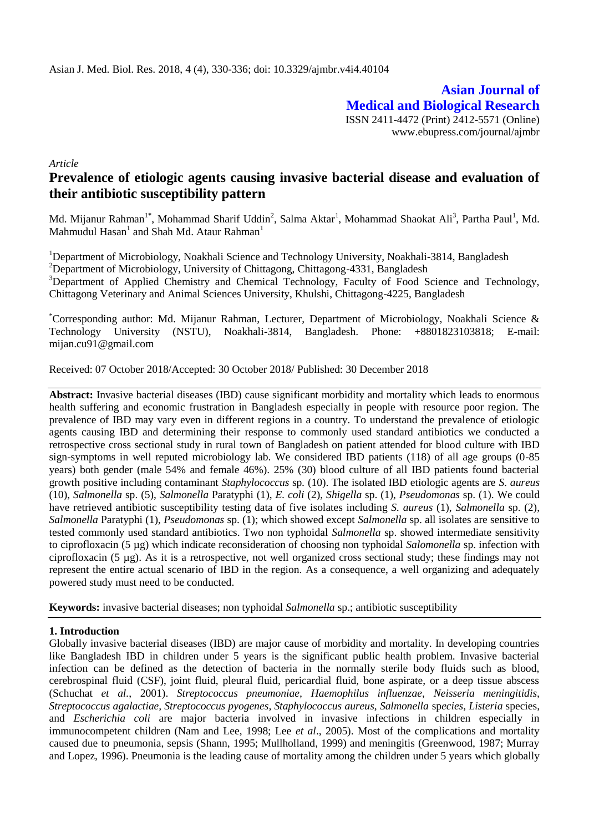**Asian Journal of Medical and Biological Research** ISSN 2411-4472 (Print) 2412-5571 (Online) www.ebupress.com/journal/ajmbr

*Article*

# **Prevalence of etiologic agents causing invasive bacterial disease and evaluation of their antibiotic susceptibility pattern**

Md. Mijanur Rahman<sup>1\*</sup>, Mohammad Sharif Uddin<sup>2</sup>, Salma Aktar<sup>1</sup>, Mohammad Shaokat Ali<sup>3</sup>, Partha Paul<sup>1</sup>, Md. Mahmudul Hasan $^{\rm l}$  and Shah Md. Ataur Rahman $^{\rm l}$ 

<sup>1</sup>Department of Microbiology, Noakhali Science and Technology University, Noakhali-3814, Bangladesh <sup>2</sup>Department of Microbiology, University of Chittagong, Chittagong-4331, Bangladesh <sup>3</sup>Department of Applied Chemistry and Chemical Technology, Faculty of Food Science and Technology, Chittagong Veterinary and Animal Sciences University, Khulshi, Chittagong-4225, Bangladesh

\*Corresponding author: Md. Mijanur Rahman, Lecturer, Department of Microbiology, Noakhali Science & Technology University (NSTU), Noakhali-3814, Bangladesh. Phone: +8801823103818; E-mail: mijan.cu91@gmail.com

Received: 07 October 2018/Accepted: 30 October 2018/ Published: 30 December 2018

**Abstract:** Invasive bacterial diseases (IBD) cause significant morbidity and mortality which leads to enormous health suffering and economic frustration in Bangladesh especially in people with resource poor region. The prevalence of IBD may vary even in different regions in a country. To understand the prevalence of etiologic agents causing IBD and determining their response to commonly used standard antibiotics we conducted a retrospective cross sectional study in rural town of Bangladesh on patient attended for blood culture with IBD sign-symptoms in well reputed microbiology lab. We considered IBD patients (118) of all age groups (0-85 years) both gender (male 54% and female 46%). 25% (30) blood culture of all IBD patients found bacterial growth positive including contaminant *Staphylococcus* sp*.* (10). The isolated IBD etiologic agents are *S. aureus* (10), *Salmonella* sp. (5), *Salmonella* Paratyphi (1), *E. coli* (2), *Shigella* sp. (1), *Pseudomonas* sp. (1). We could have retrieved antibiotic susceptibility testing data of five isolates including *S. aureus* (1), *Salmonella* sp. (2), *Salmonella* Paratyphi (1), *Pseudomonas* sp. (1); which showed except *Salmonella* sp. all isolates are sensitive to tested commonly used standard antibiotics. Two non typhoidal *Salmonella* sp. showed intermediate sensitivity to ciprofloxacin (5 µg) which indicate reconsideration of choosing non typhoidal *Salomonella* sp. infection with ciprofloxacin (5 µg). As it is a retrospective, not well organized cross sectional study; these findings may not represent the entire actual scenario of IBD in the region. As a consequence, a well organizing and adequately powered study must need to be conducted.

**Keywords:** invasive bacterial diseases; non typhoidal *Salmonella* sp.; antibiotic susceptibility

# **1. Introduction**

Globally invasive bacterial diseases (IBD) are major cause of morbidity and mortality. In developing countries like Bangladesh IBD in children under 5 years is the significant public health problem. Invasive bacterial infection can be defined as the detection of bacteria in the normally sterile body fluids such as blood, cerebrospinal fluid (CSF), joint fluid, pleural fluid, pericardial fluid, bone aspirate, or a deep tissue abscess (Schuchat *et al.*, 2001). *Streptococcus pneumoniae, Haemophilus influenzae, Neisseria meningitidis, Streptococcus agalactiae, Streptococcus pyogenes, Staphylococcus aureus, Salmonella* sp*ecies, Listeria* species, and *Escherichia coli* are major bacteria involved in invasive infections in children especially in immunocompetent children (Nam and Lee, 1998; Lee *et al*., 2005). Most of the complications and mortality caused due to pneumonia, sepsis (Shann, 1995; Mullholland, 1999) and meningitis (Greenwood, 1987; Murray and Lopez, 1996). Pneumonia is the leading cause of mortality among the children under 5 years which globally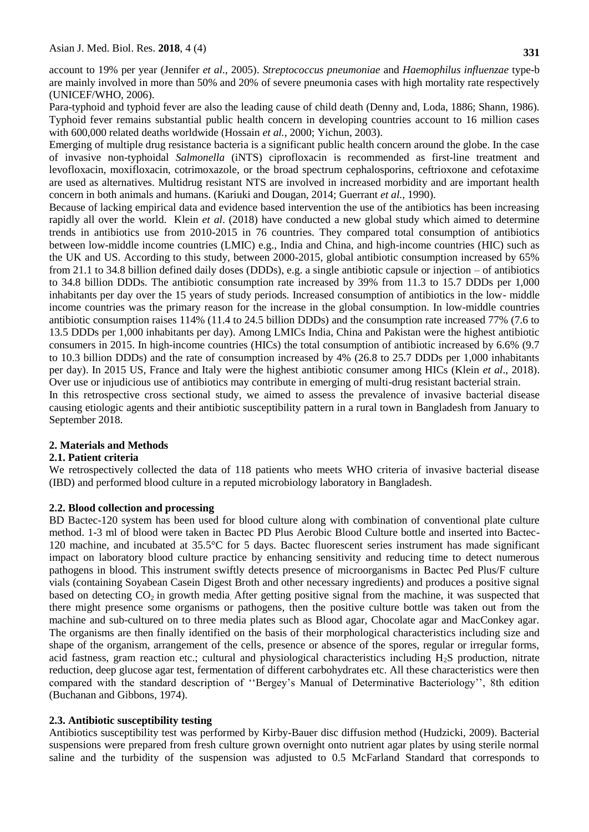account to 19% per year (Jennifer *et al.,* 2005). *Streptococcus pneumoniae* and *Haemophilus influenzae* type-b are mainly involved in more than 50% and 20% of severe pneumonia cases with high mortality rate respectively (UNICEF/WHO, 2006).

Para-typhoid and typhoid fever are also the leading cause of child death (Denny and, Loda, 1886; Shann, 1986). Typhoid fever remains substantial public health concern in developing countries account to 16 million cases with 600,000 related deaths worldwide (Hossain *et al.*, 2000; Yichun, 2003).

Emerging of multiple drug resistance bacteria is a significant public health concern around the globe. In the case of invasive non-typhoidal *Salmonella* (iNTS) ciprofloxacin is recommended as first-line treatment and levofloxacin, moxifloxacin, cotrimoxazole, or the broad spectrum cephalosporins, ceftrioxone and cefotaxime are used as alternatives. Multidrug resistant NTS are involved in increased morbidity and are important health concern in both animals and humans. (Kariuki and Dougan, 2014; Guerrant *et al.,* 1990).

Because of lacking empirical data and evidence based intervention the use of the antibiotics has been increasing rapidly all over the world. Klein *et al*. (2018) have conducted a new global study which aimed to determine trends in antibiotics use from 2010-2015 in 76 countries. They compared total consumption of antibiotics between low-middle income countries (LMIC) e.g., India and China, and high-income countries (HIC) such as the UK and US. According to this study, between 2000-2015, global antibiotic consumption increased by 65% from 21.1 to 34.8 billion defined daily doses (DDDs), e.g. a single antibiotic capsule or injection – of antibiotics to 34.8 billion DDDs. The antibiotic consumption rate increased by 39% from 11.3 to 15.7 DDDs per 1,000 inhabitants per day over the 15 years of study periods. Increased consumption of antibiotics in the low- middle income countries was the primary reason for the increase in the global consumption. In low-middle countries antibiotic consumption raises 114% (11.4 to 24.5 billion DDDs) and the consumption rate increased 77% (7.6 to 13.5 DDDs per 1,000 inhabitants per day). Among LMICs India, China and Pakistan were the highest antibiotic consumers in 2015. In high-income countries (HICs) the total consumption of antibiotic increased by 6.6% (9.7 to 10.3 billion DDDs) and the rate of consumption increased by 4% (26.8 to 25.7 DDDs per 1,000 inhabitants per day). In 2015 US, France and Italy were the highest antibiotic consumer among HICs (Klein *et al*., 2018). Over use or injudicious use of antibiotics may contribute in emerging of multi-drug resistant bacterial strain.

In this retrospective cross sectional study, we aimed to assess the prevalence of invasive bacterial disease causing etiologic agents and their antibiotic susceptibility pattern in a rural town in Bangladesh from January to September 2018.

### **2. Materials and Methods**

### **2.1. Patient criteria**

We retrospectively collected the data of 118 patients who meets WHO criteria of invasive bacterial disease (IBD) and performed blood culture in a reputed microbiology laboratory in Bangladesh.

### **2.2. Blood collection and processing**

BD Bactec-120 system has been used for blood culture along with combination of conventional plate culture method. 1-3 ml of blood were taken in Bactec PD Plus Aerobic Blood Culture bottle and inserted into Bactec-120 machine, and incubated at 35.5°C for 5 days. Bactec fluorescent series instrument has made significant impact on laboratory blood culture practice by enhancing sensitivity and reducing time to detect numerous pathogens in blood. This instrument swiftly detects presence of microorganisms in Bactec Ped Plus/F culture vials (containing Soyabean Casein Digest Broth and other necessary ingredients) and produces a positive signal based on detecting  $CO<sub>2</sub>$  in growth media. After getting positive signal from the machine, it was suspected that there might presence some organisms or pathogens, then the positive culture bottle was taken out from the machine and sub-cultured on to three media plates such as Blood agar, Chocolate agar and MacConkey agar. The organisms are then finally identified on the basis of their morphological characteristics including size and shape of the organism, arrangement of the cells, presence or absence of the spores, regular or irregular forms, acid fastness, gram reaction etc.; cultural and physiological characteristics including  $H_2S$  production, nitrate reduction, deep glucose agar test, fermentation of different carbohydrates etc. All these characteristics were then compared with the standard description of ''Bergey's Manual of Determinative Bacteriology'', 8th edition (Buchanan and Gibbons, 1974).

# **2.3. Antibiotic susceptibility testing**

Antibiotics susceptibility test was performed by Kirby-Bauer disc diffusion method (Hudzicki, 2009). Bacterial suspensions were prepared from fresh culture grown overnight onto nutrient agar plates by using sterile normal saline and the turbidity of the suspension was adjusted to 0.5 McFarland Standard that corresponds to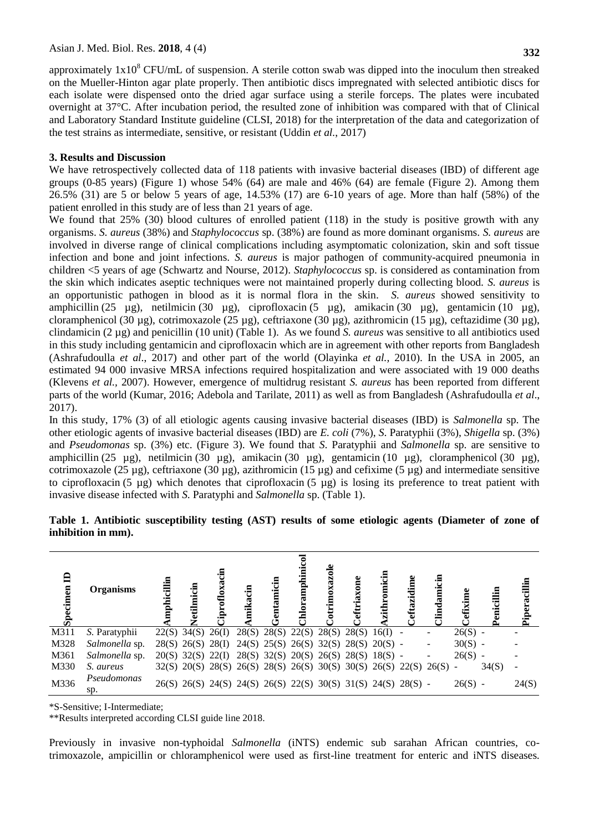approximately  $1x10^8$  CFU/mL of suspension. A sterile cotton swab was dipped into the inoculum then streaked on the Mueller-Hinton agar plate properly. Then antibiotic discs impregnated with selected antibiotic discs for each isolate were dispensed onto the dried agar surface using a sterile forceps. The plates were incubated overnight at 37°C. After incubation period, the resulted zone of inhibition was compared with that of Clinical and Laboratory Standard Institute guideline (CLSI, 2018) for the interpretation of the data and categorization of the test strains as intermediate, sensitive, or resistant (Uddin *et al.*, 2017)

# **3. Results and Discussion**

We have retrospectively collected data of 118 patients with invasive bacterial diseases (IBD) of different age groups (0-85 years) (Figure 1) whose 54% (64) are male and 46% (64) are female (Figure 2). Among them 26.5% (31) are 5 or below 5 years of age, 14.53% (17) are 6-10 years of age. More than half (58%) of the patient enrolled in this study are of less than 21 years of age.

We found that 25% (30) blood cultures of enrolled patient (118) in the study is positive growth with any organisms. *S. aureus* (38%) and *Staphylococcus* sp. (38%) are found as more dominant organisms. *S. aureus* are involved in diverse range of clinical complications including asymptomatic colonization, skin and soft tissue infection and bone and joint infections. *S. aureus* is major pathogen of community-acquired pneumonia in children <5 years of age (Schwartz and Nourse, 2012). *Staphylococcus* sp. is considered as contamination from the skin which indicates aseptic techniques were not maintained properly during collecting blood. *S. aureus* is an opportunistic pathogen in blood as it is normal flora in the skin. *S. aureus* showed sensitivity to amphicillin (25 µg), netilmicin (30 µg), ciprofloxacin (5 µg), amikacin (30 µg), gentamicin (10 µg), cloramphenicol (30 µg), cotrimoxazole (25 µg), ceftriaxone (30 µg), azithromicin (15 µg), ceftazidime (30 µg), clindamicin (2 µg) and penicillin (10 unit) (Table 1). As we found *S. aureus* was sensitive to all antibiotics used in this study including gentamicin and ciprofloxacin which are in agreement with other reports from Bangladesh (Ashrafudoulla *et al*., 2017) and other part of the world (Olayinka *et al.,* 2010). In the USA in 2005, an estimated 94 000 invasive MRSA infections required hospitalization and were associated with 19 000 deaths (Klevens *et al.,* 2007). However, emergence of multidrug resistant *S. aureus* has been reported from different parts of the world (Kumar, 2016; Adebola and Tarilate, 2011) as well as from Bangladesh (Ashrafudoulla *et al*., 2017).

In this study, 17% (3) of all etiologic agents causing invasive bacterial diseases (IBD) is *Salmonella* sp. The other etiologic agents of invasive bacterial diseases (IBD) are *E. coli* (7%), *S*. Paratyphii (3%), *Shigella* sp. (3%) and *Pseudomonas* sp. (3%) etc. (Figure 3). We found that *S*. Paratyphii and *Salmonella* sp. are sensitive to amphicillin (25 µg), netilmicin (30 µg), amikacin (30 µg), gentamicin (10 µg), cloramphenicol (30 µg), cotrimoxazole (25 µg), ceftriaxone (30 µg), azithromicin (15 µg) and cefixime (5 µg) and intermediate sensitive to ciprofloxacin (5 µg) which denotes that ciprofloxacin (5 µg) is losing its preference to treat patient with invasive disease infected with *S*. Paratyphi and *Salmonella* sp. (Table 1).

|                    | Table 1. Antibiotic susceptibility testing (AST) results of some etiologic agents (Diameter of zone of |  |  |  |  |  |  |
|--------------------|--------------------------------------------------------------------------------------------------------|--|--|--|--|--|--|
| inhibition in mm). |                                                                                                        |  |  |  |  |  |  |

| $\mathbf{a}$<br>cimen<br>$S_{\rm peq}$ | <b>Organisms</b>   | cillin | Э.                  | ίā                  | .<br>Ein | entamicin                                                         | hloramphini | rimoxazole | triaxone | zithromici | ੶੩ | Ę |           | $c$ illin | Piperacillin |
|----------------------------------------|--------------------|--------|---------------------|---------------------|----------|-------------------------------------------------------------------|-------------|------------|----------|------------|----|---|-----------|-----------|--------------|
| M311                                   | S. Paratyphii      |        | $22(S)$ 34(S) 26(I) |                     |          | 28(S) 28(S) 22(S) 28(S) 28(S) 16(I) -                             |             |            |          |            |    |   | $26(S) -$ |           |              |
| M328                                   | Salmonella sp.     |        |                     |                     |          | 28(S) 26(S) 28(I) 24(S) 25(S) 26(S) 32(S) 28(S) 20(S) -           |             |            |          |            |    |   | $30(S) -$ |           |              |
| M361                                   | Salmonella sp.     |        |                     | $20(S)$ 32(S) 22(I) |          | 28(S) 32(S) 20(S) 26(S) 28(S) 18(S) -                             |             |            |          |            |    |   | $26(S) -$ |           |              |
| M330                                   | S. aureus          |        |                     |                     |          | 32(S) 20(S) 28(S) 26(S) 28(S) 26(S) 30(S) 30(S) 26(S) 22(S) 26(S) |             |            |          |            |    |   |           | 34(S)     |              |
| M336                                   | Pseudomonas<br>sp. |        |                     |                     |          | 26(S) 26(S) 24(S) 24(S) 26(S) 22(S) 30(S) 31(S) 24(S) 28(S) -     |             |            |          |            |    |   | $26(S) -$ |           | 24(S)        |

\*S-Sensitive; I-Intermediate;

\*\*Results interpreted according CLSI guide line 2018.

Previously in invasive non-typhoidal *Salmonella* (iNTS) endemic sub sarahan African countries, cotrimoxazole, ampicillin or chloramphenicol were used as first-line treatment for enteric and iNTS diseases.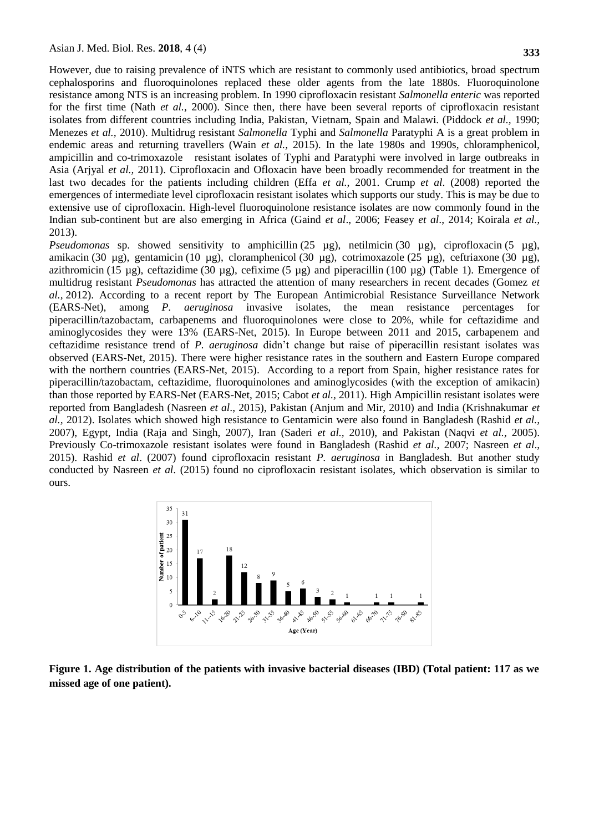resistance among NTS is an increasing problem. In 1990 ciprofloxacin resistant *Salmonella enteric* was reported for the first time (Nath *et al.,* 2000). Since then, there have been several reports of ciprofloxacin resistant isolates from different countries including India, Pakistan, Vietnam, Spain and Malawi. (Piddock *et al.,* 1990; Menezes *et al.,* 2010). Multidrug resistant *Salmonella* Typhi and *Salmonella* Paratyphi A is a great problem in endemic areas and returning travellers (Wain *et al.,* 2015). In the late 1980s and 1990s, chloramphenicol, ampicillin and co-trimoxazole resistant isolates of Typhi and Paratyphi were involved in large outbreaks in Asia (Arjyal *et al.,* 2011). Ciprofloxacin and Ofloxacin have been broadly recommended for treatment in the last two decades for the patients including children (Effa *et al.,* 2001. Crump *et al*. (2008) reported the emergences of intermediate level ciprofloxacin resistant isolates which supports our study. This is may be due to extensive use of ciprofloxacin. High-level fluoroquinolone resistance isolates are now commonly found in the Indian sub-continent but are also emerging in Africa (Gaind *et al*., 2006; Feasey *et al*., 2014; Koirala *et al.,* 2013).

*Pseudomonas* sp. showed sensitivity to amphicillin (25 µg), netilmicin (30 µg), ciprofloxacin (5 µg), amikacin (30 µg), gentamicin (10 µg), cloramphenicol (30 µg), cotrimoxazole (25 µg), ceftriaxone (30 µg), azithromicin (15 µg), ceftazidime (30 µg), cefixime (5 µg) and piperacillin (100 µg) (Table 1). Emergence of multidrug resistant *Pseudomonas* has attracted the attention of many researchers in recent decades (Gomez *et al.,* 2012). According to a recent report by The European Antimicrobial Resistance Surveillance Network (EARS-Net), among *P. aeruginosa* invasive isolates, the mean resistance percentages for piperacillin/tazobactam, carbapenems and fluoroquinolones were close to 20%, while for ceftazidime and aminoglycosides they were 13% (EARS-Net, 2015). In Europe between 2011 and 2015, carbapenem and ceftazidime resistance trend of *P. aeruginosa* didn't change but raise of piperacillin resistant isolates was observed (EARS-Net, 2015). There were higher resistance rates in the southern and Eastern Europe compared with the northern countries (EARS-Net, 2015). According to a report from Spain, higher resistance rates for piperacillin/tazobactam, ceftazidime, fluoroquinolones and aminoglycosides (with the exception of amikacin) than those reported by EARS-Net (EARS-Net, 2015; Cabot *et al.,* 2011). High Ampicillin resistant isolates were reported from Bangladesh (Nasreen *et al*., 2015), Pakistan (Anjum and Mir, 2010) and India (Krishnakumar *et al.,* 2012). Isolates which showed high resistance to Gentamicin were also found in Bangladesh (Rashid *et al.,*  2007), Egypt, India (Raja and Singh, 2007), Iran (Saderi *et al.,* 2010), and Pakistan (Naqvi *et al.,* 2005). Previously Co-trimoxazole resistant isolates were found in Bangladesh (Rashid *et al.,* 2007; Nasreen *et al*., 2015). Rashid *et al*. (2007) found ciprofloxacin resistant *P. aeruginosa* in Bangladesh. But another study conducted by Nasreen *et al*. (2015) found no ciprofloxacin resistant isolates, which observation is similar to ours.



**Figure 1. Age distribution of the patients with invasive bacterial diseases (IBD) (Total patient: 117 as we missed age of one patient).**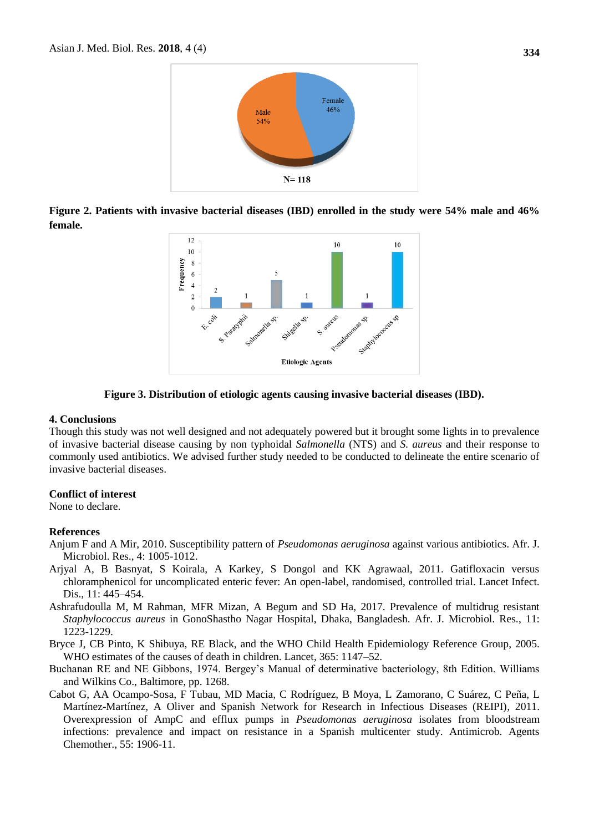

**Figure 2. Patients with invasive bacterial diseases (IBD) enrolled in the study were 54% male and 46% female.**



### **Figure 3. Distribution of etiologic agents causing invasive bacterial diseases (IBD).**

### **4. Conclusions**

Though this study was not well designed and not adequately powered but it brought some lights in to prevalence of invasive bacterial disease causing by non typhoidal *Salmonella* (NTS) and *S. aureus* and their response to commonly used antibiotics. We advised further study needed to be conducted to delineate the entire scenario of invasive bacterial diseases.

## **Conflict of interest**

None to declare.

### **References**

- Anjum F and A Mir, 2010. Susceptibility pattern of *Pseudomonas aeruginosa* against various antibiotics. Afr. J. Microbiol. Res., 4: 1005-1012.
- Arjyal A, B Basnyat, S Koirala, A Karkey, S Dongol and KK Agrawaal, 2011. Gatifloxacin versus chloramphenicol for uncomplicated enteric fever: An open-label, randomised, controlled trial. Lancet Infect. Dis., 11: 445–454.
- Ashrafudoulla M, M Rahman, MFR Mizan, A Begum and SD Ha, 2017. Prevalence of multidrug resistant *Staphylococcus aureus* in GonoShastho Nagar Hospital, Dhaka, Bangladesh. Afr. J. Microbiol. Res., 11: 1223-1229.
- Bryce J, CB Pinto, K Shibuya, RE Black, and the WHO Child Health Epidemiology Reference Group, 2005. WHO estimates of the causes of death in children. Lancet, 365: 1147–52.
- Buchanan RE and NE Gibbons, 1974. Bergey's Manual of determinative bacteriology, 8th Edition. Williams and Wilkins Co., Baltimore, pp. 1268.
- Cabot G, AA Ocampo-Sosa, F Tubau, MD Macia, C Rodríguez, B Moya, L [Zamorano,](https://www.ncbi.nlm.nih.gov/pubmed/?term=Zamorano%20L%5BAuthor%5D&cauthor=true&cauthor_uid=21357294) C [Suárez,](https://www.ncbi.nlm.nih.gov/pubmed/?term=Su%C3%A1rez%20C%5BAuthor%5D&cauthor=true&cauthor_uid=21357294) C [Peña,](https://www.ncbi.nlm.nih.gov/pubmed/?term=Pe%C3%B1a%20C%5BAuthor%5D&cauthor=true&cauthor_uid=21357294) L [Martínez-Martínez,](https://www.ncbi.nlm.nih.gov/pubmed/?term=Mart%C3%ADnez-Mart%C3%ADnez%20L%5BAuthor%5D&cauthor=true&cauthor_uid=21357294) A [Oliver a](https://www.ncbi.nlm.nih.gov/pubmed/?term=Oliver%20A%5BAuthor%5D&cauthor=true&cauthor_uid=21357294)nd [Spanish Network for Research in Infectious Diseases \(REIPI\)](https://www.ncbi.nlm.nih.gov/pubmed/?term=Spanish%20Network%20for%20Research%20in%20Infectious%20Diseases%20(REIPI)%5BCorporate%20Author%5D)*,* 2011. Overexpression of AmpC and efflux pumps in *Pseudomonas aeruginosa* isolates from bloodstream infections: prevalence and impact on resistance in a Spanish multicenter study. Antimicrob. Agents Chemother., 55: 1906-11.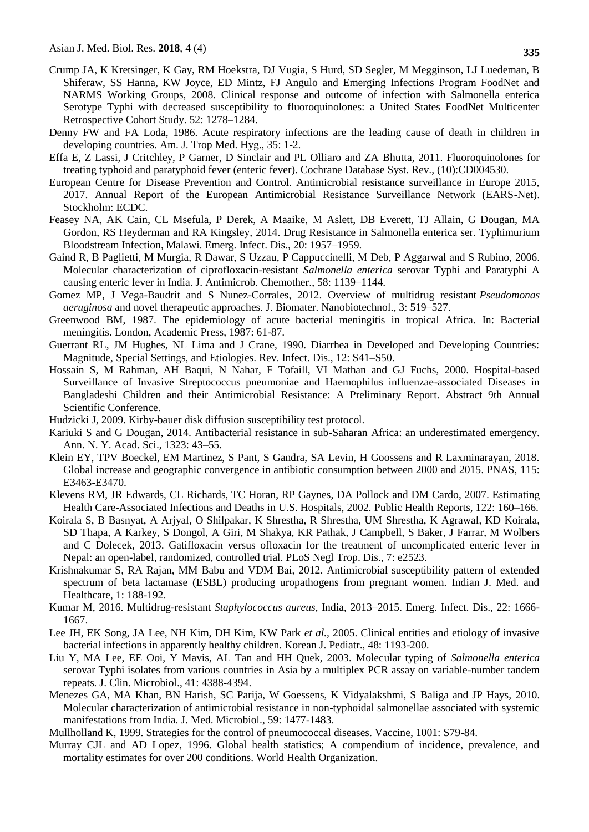- Crump JA, K Kretsinger, K Gay, RM Hoekstra, DJ Vugia, S Hurd, SD Segler, M Megginson, LJ Luedeman, B Shiferaw, SS Hanna, KW Joyce, ED Mintz, FJ Angulo and Emerging Infections Program FoodNet and NARMS Working Groups, 2008. Clinical response and outcome of infection with Salmonella enterica Serotype Typhi with decreased susceptibility to fluoroquinolones: a United States FoodNet Multicenter Retrospective Cohort Study. 52: 1278–1284.
- Denny FW and FA Loda, 1986. Acute respiratory infections are the leading cause of death in children in developing countries. Am. J. Trop Med. Hyg., 35: 1-2.
- Effa E, Z Lassi, J Critchley, P Garner, D Sinclair and PL Olliaro and ZA Bhutta, 2011. Fluoroquinolones for treating typhoid and paratyphoid fever (enteric fever). Cochrane Database Syst. Rev., (10):CD004530.
- European Centre for Disease Prevention and Control. Antimicrobial resistance surveillance in Europe 2015, 2017. Annual Report of the European Antimicrobial Resistance Surveillance Network (EARS-Net). Stockholm: ECDC.
- Feasey NA, AK Cain, CL Msefula, P Derek, A Maaike, M Aslett, DB Everett, TJ Allain, G Dougan, MA Gordon, RS Heyderman and RA Kingsley*,* 2014. Drug Resistance in Salmonella enterica ser. Typhimurium Bloodstream Infection, Malawi. Emerg. Infect. Dis., 20: 1957–1959.
- Gaind R, B Paglietti, M Murgia, R Dawar, S Uzzau, P Cappuccinelli, M Deb, P Aggarwal and S Rubino, 2006. Molecular characterization of ciprofloxacin-resistant *Salmonella enterica* serovar Typhi and Paratyphi A causing enteric fever in India. J. Antimicrob. Chemother., 58: 1139–1144.
- Gomez MP, J Vega-Baudrit and S Nunez-Corrales, 2012. Overview of multidrug resistant *Pseudomonas aeruginosa* and novel therapeutic approaches. J. Biomater. Nanobiotechnol., 3: 519–527.
- Greenwood BM, 1987. The epidemiology of acute bacterial meningitis in tropical Africa. In: Bacterial meningitis. London, Academic Press, 1987: 61-87.
- Guerrant RL, JM Hughes, NL Lima and J Crane, 1990. Diarrhea in Developed and Developing Countries: Magnitude, Special Settings, and Etiologies. Rev. Infect. Dis., 12: S41–S50.
- Hossain S, M Rahman, AH Baqui, N Nahar, F Tofaill, VI Mathan and GJ Fuchs, 2000. Hospital-based Surveillance of Invasive Streptococcus pneumoniae and Haemophilus influenzae-associated Diseases in Bangladeshi Children and their Antimicrobial Resistance: A Preliminary Report. Abstract 9th Annual Scientific Conference.
- Hudzicki J, 2009. Kirby-bauer disk diffusion susceptibility test protocol.
- Kariuki S and G Dougan, 2014. Antibacterial resistance in sub-Saharan Africa: an underestimated emergency. Ann. N. Y. Acad. Sci., 1323: 43–55.
- Klein EY, TPV Boeckel, EM Martinez, S Pant, S Gandra, SA Levin, H Goossens and R Laxminarayan, 2018. Global increase and geographic convergence in antibiotic consumption between 2000 and 2015. PNAS, 115: E3463-E3470.
- Klevens RM, JR Edwards, CL Richards, TC Horan, RP Gaynes, DA Pollock and DM Cardo, 2007. Estimating Health Care-Associated Infections and Deaths in U.S. Hospitals, 2002. Public Health Reports, 122: 160–166.
- Koirala S, B Basnyat, A Arjyal, O Shilpakar, K Shrestha, R Shrestha, UM [Shrestha,](https://www.ncbi.nlm.nih.gov/pubmed/?term=Shrestha%20UM%5BAuthor%5D&cauthor=true&cauthor_uid=24282626) K [Agrawal,](https://www.ncbi.nlm.nih.gov/pubmed/?term=Agrawal%20K%5BAuthor%5D&cauthor=true&cauthor_uid=24282626) KD [Koirala,](https://www.ncbi.nlm.nih.gov/pubmed/?term=Koirala%20KD%5BAuthor%5D&cauthor=true&cauthor_uid=24282626) SD [Thapa,](https://www.ncbi.nlm.nih.gov/pubmed/?term=Thapa%20SD%5BAuthor%5D&cauthor=true&cauthor_uid=24282626) A [Karkey,](https://www.ncbi.nlm.nih.gov/pubmed/?term=Karkey%20A%5BAuthor%5D&cauthor=true&cauthor_uid=24282626) S [Dongol,](https://www.ncbi.nlm.nih.gov/pubmed/?term=Dongol%20S%5BAuthor%5D&cauthor=true&cauthor_uid=24282626) A [Giri,](https://www.ncbi.nlm.nih.gov/pubmed/?term=Giri%20A%5BAuthor%5D&cauthor=true&cauthor_uid=24282626) M [Shakya,](https://www.ncbi.nlm.nih.gov/pubmed/?term=Shakya%20M%5BAuthor%5D&cauthor=true&cauthor_uid=24282626) KR [Pathak,](https://www.ncbi.nlm.nih.gov/pubmed/?term=Pathak%20KR%5BAuthor%5D&cauthor=true&cauthor_uid=24282626) J [Campbell,](https://www.ncbi.nlm.nih.gov/pubmed/?term=Campbell%20J%5BAuthor%5D&cauthor=true&cauthor_uid=24282626) S [Baker,](https://www.ncbi.nlm.nih.gov/pubmed/?term=Baker%20S%5BAuthor%5D&cauthor=true&cauthor_uid=24282626) J [Farrar,](https://www.ncbi.nlm.nih.gov/pubmed/?term=Farrar%20J%5BAuthor%5D&cauthor=true&cauthor_uid=24282626) M [Wolbers](https://www.ncbi.nlm.nih.gov/pubmed/?term=Wolbers%20M%5BAuthor%5D&cauthor=true&cauthor_uid=24282626) and C [Dolecek,](https://www.ncbi.nlm.nih.gov/pubmed/?term=Dolecek%20C%5BAuthor%5D&cauthor=true&cauthor_uid=24282626) 2013. Gatifloxacin versus ofloxacin for the treatment of uncomplicated enteric fever in Nepal: an open-label, randomized, controlled trial. PLoS Negl Trop. Dis., 7: e2523.
- Krishnakumar S, RA Rajan, MM Babu and VDM Bai, 2012. Antimicrobial susceptibility pattern of extended spectrum of beta lactamase (ESBL) producing uropathogens from pregnant women. Indian J. Med. and Healthcare, 1: 188-192.
- Kumar M, 2016. Multidrug-resistant *Staphylococcus aureus*, India, 2013–2015. Emerg. Infect. Dis., 22: 1666- 1667.
- Lee JH, EK Song, JA Lee, NH Kim, DH Kim, KW Park *et al.,* 2005. Clinical entities and etiology of invasive bacterial infections in apparently healthy children. Korean J. Pediatr., 48: 1193-200.
- Liu Y, MA Lee, EE Ooi, Y Mavis, AL Tan and HH Quek, 2003. Molecular typing of *Salmonella enterica* serovar Typhi isolates from various countries in Asia by a multiplex PCR assay on variable-number tandem repeats. J. Clin. Microbiol., 41: 4388-4394.
- Menezes GA, MA Khan, BN Harish, SC Parija, W Goessens, K Vidyalakshmi, S [Baliga and](https://www.ncbi.nlm.nih.gov/pubmed/?term=Baliga%20S%5BAuthor%5D&cauthor=true&cauthor_uid=20813852) JP [Hays](https://www.ncbi.nlm.nih.gov/pubmed/?term=Hays%20JP%5BAuthor%5D&cauthor=true&cauthor_uid=20813852)*,* 2010. Molecular characterization of antimicrobial resistance in non-typhoidal salmonellae associated with systemic manifestations from India. J. Med. Microbiol., 59: 1477-1483.
- Mullholland K, 1999. Strategies for the control of pneumococcal diseases. Vaccine, 1001: S79-84.
- Murray CJL and AD Lopez, 1996. Global health statistics; A compendium of incidence, prevalence, and mortality estimates for over 200 conditions. World Health Organization.